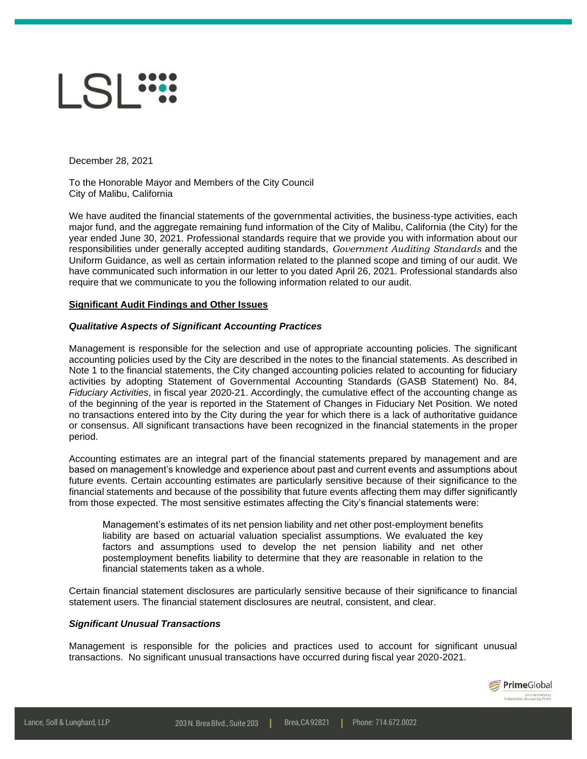# $|S|$

December 28, 2021

To the Honorable Mayor and Members of the City Council City of Malibu, California

We have audited the financial statements of the governmental activities, the business-type activities, each major fund, and the aggregate remaining fund information of the City of Malibu, California (the City) for the year ended June 30, 2021. Professional standards require that we provide you with information about our responsibilities under generally accepted auditing standards, *Government Auditing Standards* and the Uniform Guidance, as well as certain information related to the planned scope and timing of our audit. We have communicated such information in our letter to you dated April 26, 2021. Professional standards also require that we communicate to you the following information related to our audit.

# **Significant Audit Findings and Other Issues**

# *Qualitative Aspects of Significant Accounting Practices*

Management is responsible for the selection and use of appropriate accounting policies. The significant accounting policies used by the City are described in the notes to the financial statements. As described in Note 1 to the financial statements, the City changed accounting policies related to accounting for fiduciary activities by adopting Statement of Governmental Accounting Standards (GASB Statement) No. 84, *Fiduciary Activities*, in fiscal year 2020-21. Accordingly, the cumulative effect of the accounting change as of the beginning of the year is reported in the Statement of Changes in Fiduciary Net Position. We noted no transactions entered into by the City during the year for which there is a lack of authoritative guidance or consensus. All significant transactions have been recognized in the financial statements in the proper period.

Accounting estimates are an integral part of the financial statements prepared by management and are based on management's knowledge and experience about past and current events and assumptions about future events. Certain accounting estimates are particularly sensitive because of their significance to the financial statements and because of the possibility that future events affecting them may differ significantly from those expected. The most sensitive estimates affecting the City's financial statements were:

Management's estimates of its net pension liability and net other post-employment benefits liability are based on actuarial valuation specialist assumptions. We evaluated the key factors and assumptions used to develop the net pension liability and net other postemployment benefits liability to determine that they are reasonable in relation to the financial statements taken as a whole.

Certain financial statement disclosures are particularly sensitive because of their significance to financial statement users. The financial statement disclosures are neutral, consistent, and clear.

# *Significant Unusual Transactions*

Management is responsible for the policies and practices used to account for significant unusual transactions. No significant unusual transactions have occurred during fiscal year 2020-2021.

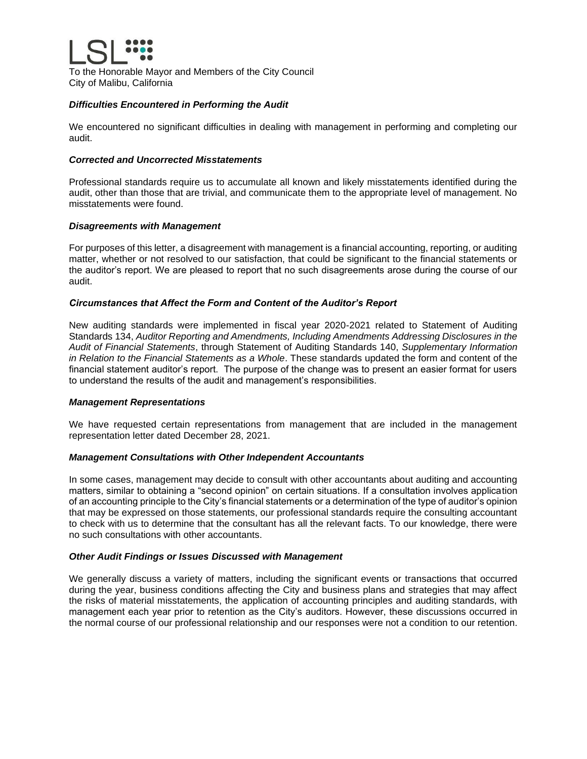

To the Honorable Mayor and Members of the City Council City of Malibu, California

# *Difficulties Encountered in Performing the Audit*

We encountered no significant difficulties in dealing with management in performing and completing our audit.

# *Corrected and Uncorrected Misstatements*

Professional standards require us to accumulate all known and likely misstatements identified during the audit, other than those that are trivial, and communicate them to the appropriate level of management. No misstatements were found.

# *Disagreements with Management*

For purposes of this letter, a disagreement with management is a financial accounting, reporting, or auditing matter, whether or not resolved to our satisfaction, that could be significant to the financial statements or the auditor's report. We are pleased to report that no such disagreements arose during the course of our audit.

# *Circumstances that Affect the Form and Content of the Auditor's Report*

New auditing standards were implemented in fiscal year 2020-2021 related to Statement of Auditing Standards 134, *Auditor Reporting and Amendments, Including Amendments Addressing Disclosures in the Audit of Financial Statements*, through Statement of Auditing Standards 140, *Supplementary Information in Relation to the Financial Statements as a Whole*. These standards updated the form and content of the financial statement auditor's report. The purpose of the change was to present an easier format for users to understand the results of the audit and management's responsibilities.

# *Management Representations*

We have requested certain representations from management that are included in the management representation letter dated December 28, 2021.

# *Management Consultations with Other Independent Accountants*

In some cases, management may decide to consult with other accountants about auditing and accounting matters, similar to obtaining a "second opinion" on certain situations. If a consultation involves application of an accounting principle to the City's financial statements or a determination of the type of auditor's opinion that may be expressed on those statements, our professional standards require the consulting accountant to check with us to determine that the consultant has all the relevant facts. To our knowledge, there were no such consultations with other accountants.

# *Other Audit Findings or Issues Discussed with Management*

We generally discuss a variety of matters, including the significant events or transactions that occurred during the year, business conditions affecting the City and business plans and strategies that may affect the risks of material misstatements, the application of accounting principles and auditing standards, with management each year prior to retention as the City's auditors. However, these discussions occurred in the normal course of our professional relationship and our responses were not a condition to our retention.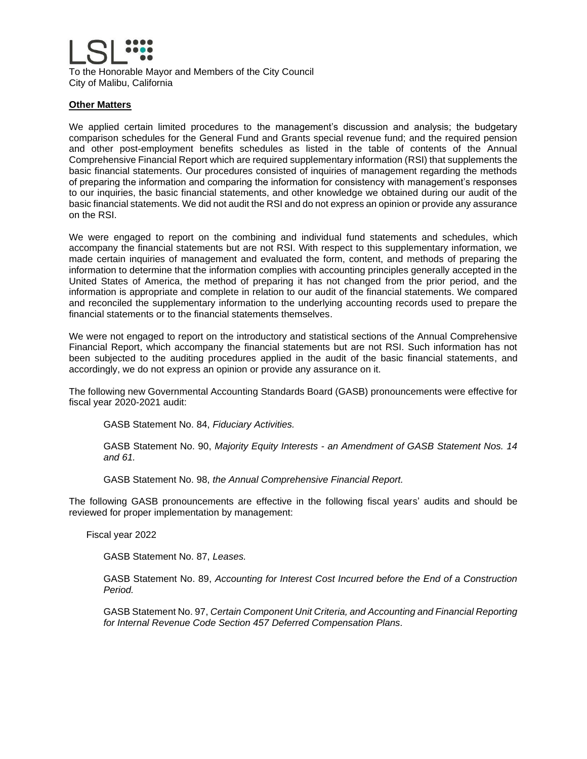

To the Honorable Mayor and Members of the City Council City of Malibu, California

# **Other Matters**

We applied certain limited procedures to the management's discussion and analysis; the budgetary comparison schedules for the General Fund and Grants special revenue fund; and the required pension and other post-employment benefits schedules as listed in the table of contents of the Annual Comprehensive Financial Report which are required supplementary information (RSI) that supplements the basic financial statements. Our procedures consisted of inquiries of management regarding the methods of preparing the information and comparing the information for consistency with management's responses to our inquiries, the basic financial statements, and other knowledge we obtained during our audit of the basic financial statements. We did not audit the RSI and do not express an opinion or provide any assurance on the RSI.

We were engaged to report on the combining and individual fund statements and schedules, which accompany the financial statements but are not RSI. With respect to this supplementary information, we made certain inquiries of management and evaluated the form, content, and methods of preparing the information to determine that the information complies with accounting principles generally accepted in the United States of America, the method of preparing it has not changed from the prior period, and the information is appropriate and complete in relation to our audit of the financial statements. We compared and reconciled the supplementary information to the underlying accounting records used to prepare the financial statements or to the financial statements themselves.

We were not engaged to report on the introductory and statistical sections of the Annual Comprehensive Financial Report, which accompany the financial statements but are not RSI. Such information has not been subjected to the auditing procedures applied in the audit of the basic financial statements, and accordingly, we do not express an opinion or provide any assurance on it.

The following new Governmental Accounting Standards Board (GASB) pronouncements were effective for fiscal year 2020-2021 audit:

GASB Statement No. 84, *Fiduciary Activities.*

GASB Statement No. 90, *Majority Equity Interests - an Amendment of GASB Statement Nos. 14 and 61.*

GASB Statement No. 98, *the Annual Comprehensive Financial Report.*

The following GASB pronouncements are effective in the following fiscal years' audits and should be reviewed for proper implementation by management:

Fiscal year 2022

GASB Statement No. 87, *Leases.*

GASB Statement No. 89, *Accounting for Interest Cost Incurred before the End of a Construction Period.*

GASB Statement No. 97, *Certain Component Unit Criteria, and Accounting and Financial Reporting for Internal Revenue Code Section 457 Deferred Compensation Plans.*